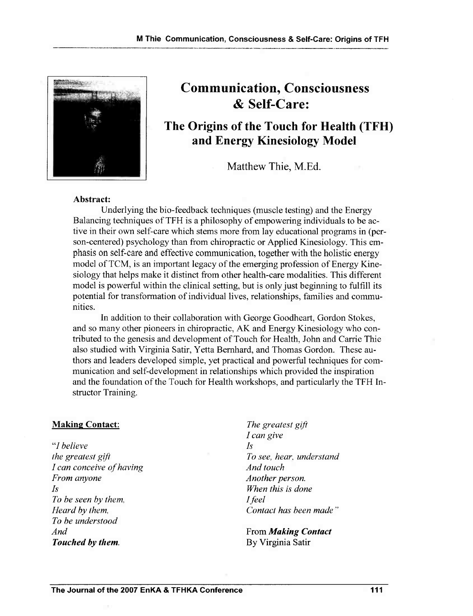

# Communication, Consciousness & Self-Care:

# The Origins of the Touch for Health (TFH) and Energy Kinesiology Model

Matthew Thie, M.Ed.

#### Abstract:

Underlying the bio-feedback techniques (muscle testing) and the Energy Balancing techniques of TFH is a philosophy of empowering individuals to be active in their own self-care which stems more from lay educational programs in (person-centered) psychology than from chiropractic or Applied Kinesiology. This emphasis on self-care and effective communication, together with the holistic energy model of TCM, is an important legacy of the emerging profession of Energy Kinesiology that helps make it distinct from other health-care modalities. This different model is powerful within the clinical setting, but is only just beginning to fulfill its potential for transformation of individual lives, relationships, families and communities.

In addition to their collaboration with George Goodheart, Gordon Stokes, and so many other pioneers in chiropractic, AK and Energy Kinesiology who contributed to the genesis and development of Touch for Health, John and Carrie Thie also studied with Virginia Satir, Yetta Bernhard, and Thomas Gordon. These authors and leaders developed simple, yet practical and powerful techniques for communication and self-development in relationships which provided the inspiration and the foundation of the Touch for Health workshops, and particularly the TPH Instructor Training.

#### Making Contact:

*"I believe the greatest gift I can conceive of having From anyone Is To be seen by them, Heard by them, To be understood And Touched by them.* 

*The greatest gift I can give Is To see, hear, understand And touch Another person. When this is done Ifeel Contact has been made"* 

Prom *Making Contact*  By Virginia Satir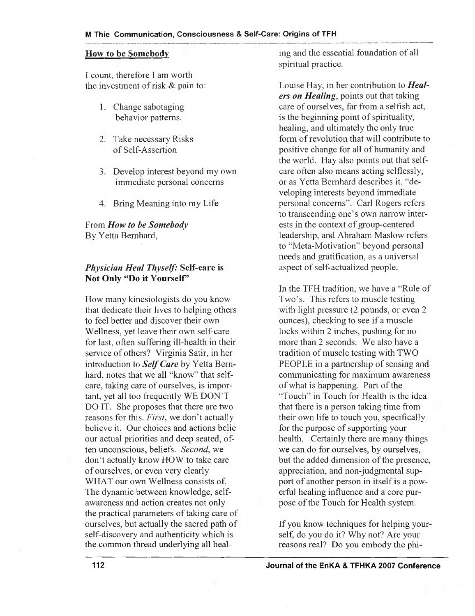I count, therefore I am worth the investment of risk & pain to:

- 1. Change sabotaging behavior patterns.
- 2. Take necessary Risks of Self-Assertion
- 3. Develop interest beyond my own immediate personal concerns
- 4. Bring Meaning into my Life

From *How to be Somebody*  By Yetta Bernhard,

#### *Physician Heal Thyself:* Self-care is Not Only "Do it Yourself'

How many kinesiologists do you know that dedicate their lives to helping others to feel better and discover their own Wellness, yet leave their own self-care for last, often suffering ill-health in their service of others? Virginia Satir, in her introduction to *Self Care* by Yetta Bernhard, notes that we all "know" that selfcare, taking care of ourselves, is important, yet all too frequently WE DON'T DO IT. She proposes that there are two reasons for this. *First,* we don't actually believe it. Our choices and actions belie our actual priorities and deep seated, often unconscious, beliefs. *Second,* we don't actually know HOW to take care of ourselves, or even very clearly WHAT our own Wellness consists of. The dynamic between knowledge, selfawareness and action creates not only the practical parameters of taking care of ourselves, but actually the sacred path of self-discovery and authenticity which is the common thread underlying all heal-

How to be Somebody ing and the essential foundation of all spiritual practice.

> Louise Hay, in her contribution to *Healers on Healing,* points out that taking care of ourselves, far from a selfish act, is the beginning point of spirituality, healing, and ultimately the only true form of revolution that will contribute to positive change for all of humanity and the world. Hay also points out that selfcare often also means acting selflessly, or as Yetta Bernhard describes it, "developing interests beyond immediate personal concerns". Carl Rogers refers to transcending one's own narrow interests in the context of group-centered leadership, and Abraham Maslow refers to "Meta-Motivation" beyond personal needs and gratification, as a universal aspect of self-actualized people.

In the TFH tradition, we have a "Rule of Two's. This refers to muscle testing with light pressure (2 pounds, or even 2 ounces), checking to see if a muscle locks within 2 inches, pushing for no more than 2 seconds. We also have a tradition of muscle testing with TWO PEOPLE in a partnership of sensing and communicating for maximum awareness of what is happening. Part of the "Touch" in Touch for Health is the idea that there is a person taking time from their own life to touch you, specifically for the purpose of supporting your health. Certainly there are many things we can do for ourselves, by ourselves, but the added dimension of the presence, appreciation, and non-judgmental support of another person in itself is a powerful healing influence and a core purpose of the Touch for Health system.

If you know techniques for helping yourself, do you do it? Why not? Are your reasons real? Do you embody the phi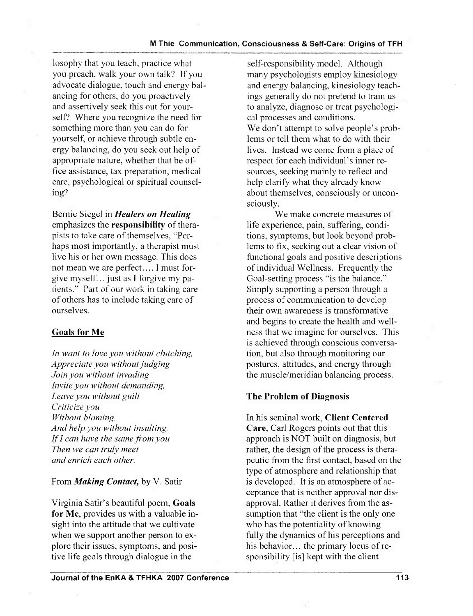losophy that you teach, practice what you preach, walk your own talk? If you advocate dialogue, touch and energy balancing for others, do you proactively and assertively seek this out for yourself? Where you recognize the need for something more than you can do for yourself, or achieve through subtle energy balancing, do you seek out help of appropriate nature, whether that be office assistance, tax preparation, medical care, psychological or spiritual counseling?

Bernie Siegel in *Healers on Healing*  emphasizes the responsibility of therapists to take care of themselves, "Perhaps most importantly, a therapist must live his or her own message. This does not mean we are perfect.... I must forgive myself. .. just as I forgive my patients." Part of our work in taking care of others has to include taking care of ourselves.

# Goals for Me

*In want to love you without clutching, Appreciate you without judging Join you without invading Invite you without demanding, Leave you without guilt Criticize you Without blaming, And help you without insulting. Ifl can have the same from you Then we can truly meet and enrich each other.* 

# From *Making Contact*, by V. Satir

Virginia Satir's beautiful poem, Goals for Me, provides us with a valuable insight into the attitude that we cultivate when we support another person to explore their issues, symptoms, and positive life goals through dialogue in the

self-responsibility model. Although many psychologists employ kinesiology and energy balancing, kinesiology teachings generally do not pretend to train us to analyze, diagnose or treat psychological processes and conditions. We don't attempt to solve people's problems or tell them what to do with their lives. Instead we come from a place of respect for each individual's inner resources, seeking mainly to reflect and help clarify what they already know about themselves, consciously or unconsciously.

We make concrete measures of life experience, pain, suffering, conditions, symptoms, but look beyond problems to fix, seeking out a clear vision of functional goals and positive descriptions of individual Wellness. Frequently the Goal-setting process "is the balance." Simply supporting a person through a process of communication to develop their own awareness is transfonnative and begins to create the health and wellness that we imagine for ourselves. This is achieved through conscious conversation, but also through monitoring our postures, attitudes, and energy through the muscle/meridian balancing process.

# The Problem of Diagnosis

In his seminal work, Client Centered Care, Carl Rogers points out that this approach is NOT built on diagnosis, but rather, the design of the process is therapeutic from the first contact, based on the type of atmosphere and relationship that is developed. It is an atmosphere of acceptance that is neither approval nor disapproval. Rather it derives from the assumption that "the client is the only one who has the potentiality of knowing fully the dynamics of his perceptions and his behavior... the primary locus of responsibility [is] kept with the client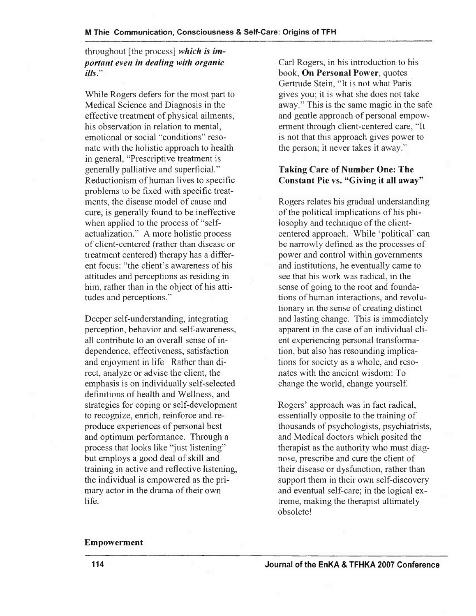throughout [the process] *which is important even in dealing with organic ills."* 

While Rogers defers for the most part to Medical Science and Diagnosis in the effective treatment of physical ailments, his observation in relation to mental, emotional or social "conditions" resonate with the holistic approach to health in general, "Prescriptive treatment is generally palliative and superficial." Reductionism of human lives to specific problems to be fixed with specific treatments, the disease model of cause and cure, is generally found to be ineffective when applied to the process of "selfactualization." A more holistic process of client-centered (rather than disease or treatment centered) therapy has a different focus: "the client's awareness of his attitudes and perceptions as residing in him, rather than in the object of his attitudes and perceptions."

Deeper self-understanding, integrating perception, behavior and self-awareness, all contribute to an overall sense of independence, effectiveness, satisfaction and enjoyment in life. Rather than direct, analyze or advise the client, the emphasis is on individually self-selected definitions of health and Wellness, and strategies for coping or self-development to recognize, enrich, reinforce and reproduce experiences of personal best and optimum performance. Through a process that looks like "just listening" but employs a good deal of skill and training in active and reflective listening, the individual is empowered as the primary actor in the drama of their own life.

Carl Rogers, in his introduction to his book, On Personal Power, quotes Gertrude Stein, "It is not what Paris gives you; it is what she does not take away." This is the same magic in the safe and gentle approach of personal empowerment through client-centered care, "It is not that this approach gives power to the person; it never takes it away."

#### Taking Care of Number One: The Constant Pie vs. "Giving it all away"

Rogers relates his gradual understanding of the political implications of his philosophy and technique of the clientcentered approach. While 'political' can be narrowly defined as the processes of power and control within governments and institutions, he eventually came to see that his work was radical, in the sense of going to the root and foundations of human interactions, and revolutionary in the sense of creating distinct and lasting change. This is immediately apparent in the case of an individual client experiencing personal transformation, but also has resounding implications for society as a whole, and resonates with the ancient wisdom: To change the world, change yourself.

Rogers' approach was in fact radical, essentially opposite to the training of thousands of psychologists, psychiatrists, and Medical doctors which posited the therapist as the authority who must diagnose, prescribe and cure the client of their disease or dysfunction, rather than support them in their own self-discovery and eventual self-care; in the logical extreme, making the therapist ultimately obsolete!

#### Empowerment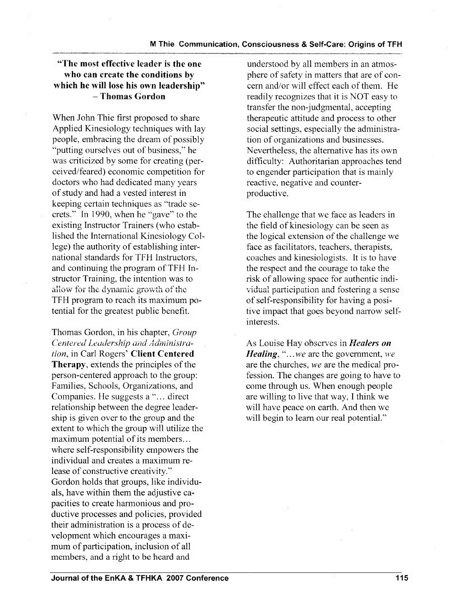### "The most effective leader is the one who can create the conditions by which he will lose his own leadership" - Thomas Gordon

When John Thie first proposed to share Applied Kinesiology techniques with lay people, embracing the dream of possibly "putting ourselves out of business," he was criticized by some for creating (perceived/feared) economic competition for doctors who had dedicated many years of study and had a vested interest in keeping certain techniques as "trade secrets." In 1990, when he "gave" to the existing Instructor Trainers (who established the International Kinesiology College) the authority of establishing international standards for TFH Instructors, and continuing the program of TFH Instructor Training, the intention was to allow for the dynamic growth of the TFH program to reach its maximum potential for the greatest public benefit.

Thomas Gordon, in his chapter, *Group Centered Leadership and Administration,* in Carl Rogers' Client Centered Therapy, extends the principles of the person-centered approach to the group: Families, Schools, Organizations, and Companies. He suggests a "... direct" relationship between the degree leadership is given over to the group and the extent to which the group will utilize the maximum potential of its members... where self-responsibility empowers the individual and creates a maximum release of constructive creativity." Gordon holds that groups, like individuals, have within them the adjustive capacities to create harmonious and productive processes and policies, provided their administration is a process of development which encourages a maximum of participation, inclusion of all members, and a right to be heard and

understood by all members in an atmosphere of safety in matters that are of concern and/or will effect each of them. He readily recognizes that it is NOT easy to transfer the non-judgmental, accepting therapeutic attitude and process to other social settings, especially the administration of organizations and businesses. Nevertheless, the alternative has its own difficulty: Authoritarian approaches tend to engender participation that is mainly reactive, negative and counterproductive.

The challenge that we face as leaders in the field of kinesiology can be seen as the logical extension of the challenge we face as facilitators, teachers, therapists, coaches and kinesiologists. It is to have the respect and the courage to take the risk of allowing space for authentic individual participation and fostering a sense of self-responsibility for having a positive impact that goes beyond narrow selfinterests.

As Louise Hay observes in *Healers on Healing, " ... we* are the government, *we*  are the churches, *we* are the medical profession. The changes are going to have to come through us. When enough people are willing to live that way, I think we will have peace on earth. And then we will begin to learn our real potential."